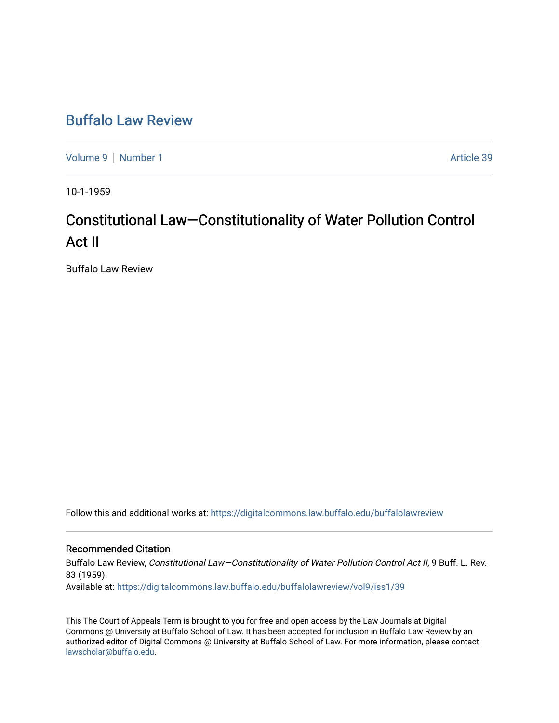## [Buffalo Law Review](https://digitalcommons.law.buffalo.edu/buffalolawreview)

[Volume 9](https://digitalcommons.law.buffalo.edu/buffalolawreview/vol9) | [Number 1](https://digitalcommons.law.buffalo.edu/buffalolawreview/vol9/iss1) Article 39

10-1-1959

# Constitutional Law—Constitutionality of Water Pollution Control Act II

Buffalo Law Review

Follow this and additional works at: [https://digitalcommons.law.buffalo.edu/buffalolawreview](https://digitalcommons.law.buffalo.edu/buffalolawreview?utm_source=digitalcommons.law.buffalo.edu%2Fbuffalolawreview%2Fvol9%2Fiss1%2F39&utm_medium=PDF&utm_campaign=PDFCoverPages) 

### Recommended Citation

Buffalo Law Review, Constitutional Law–Constitutionality of Water Pollution Control Act II, 9 Buff. L. Rev. 83 (1959). Available at: [https://digitalcommons.law.buffalo.edu/buffalolawreview/vol9/iss1/39](https://digitalcommons.law.buffalo.edu/buffalolawreview/vol9/iss1/39?utm_source=digitalcommons.law.buffalo.edu%2Fbuffalolawreview%2Fvol9%2Fiss1%2F39&utm_medium=PDF&utm_campaign=PDFCoverPages) 

This The Court of Appeals Term is brought to you for free and open access by the Law Journals at Digital Commons @ University at Buffalo School of Law. It has been accepted for inclusion in Buffalo Law Review by an authorized editor of Digital Commons @ University at Buffalo School of Law. For more information, please contact [lawscholar@buffalo.edu](mailto:lawscholar@buffalo.edu).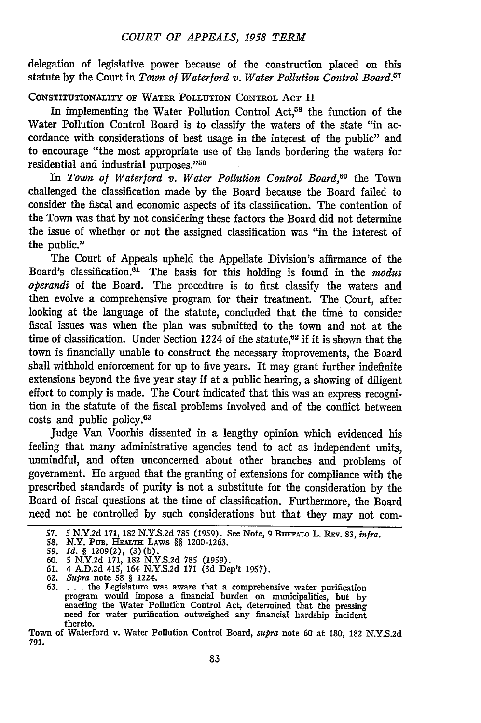#### *COURT OF APPEALS, 1958 TERM*

delegation of legislative power because of the construction placed on this statute **by** the Court in Town *of Waterford v. Water Pollution Control Board.67*

CONSTITUTIONALITY OF WATER POLLUTION CONTROL **ACT** II

In implementing the Water Pollution Control Act,<sup>58</sup> the function of the Water Pollution Control Board is to classify the waters of the state "in accordance with considerations of best usage in the interest of the public" and to encourage "the most appropriate use of the lands bordering the waters for residential and industrial purposes."<sup>59</sup>

In *Town of Waterford v. Water Pollution Control Board,60* the Town challenged the classification made by the Board because the Board failed to consider the fiscal and economic aspects of its classification. The contention of the Town was that by not considering these factors the Board did not determine the issue of whether or not the assigned classification was "in the interest of the public."

The Court of Appeals upheld the Appellate Division's affirmance of the Board's classification.<sup>61</sup> The basis for this holding is found in the *modus operandi* of the Board. The procedtire is to first classify the waters and then evolve a comprehensive program for their treatment. The Court, after looking at the language of the statute, concluded that the time to consider fiscal issues was when the plan was submitted to the town and not at the time of classification. Under Section 1224 of the statute, $62$  if it is shown that the town is financially unable to construct the necessary improvements, the Board shall withhold enforcement for up to five years. It may grant further indefinite extensions beyond the five year stay if at a public hearing, a showing of diligent effort to comply is made. The Court indicated that this was an express recognition in the statute of the fiscal problems involved and of the conflict between costs and public policy.<sup>63</sup>

Judge Van Voorhis dissented in a lengthy opinion which evidenced his feeling that many administrative agencies tend to act as independent units, unmindful, and often unconcerned about other branches and problems of government. He argued that the granting of extensions for compliance with the prescribed standards of purity is not a substitute for the consideration by the Board of fiscal questions at the time of classification. Furthermore, the Board need not be controlled by such considerations but that they may not com-

<sup>57. 5</sup> N.Y.2d 171, 182 N.Y.S.2d 785 (1959). See Note, 9 BUFFALO L. REv. 83, infra.

**<sup>58.</sup>** N.Y. PUB. HEALTH LAws *§§* 1200-1263.

**<sup>59.</sup>** *Id.* § **1209(2),** (3)(b). **60. 5 N.Y.2d 171,** 182 **N.Y.S.2d** 785 (1959).

<sup>61. 4</sup> A.D.2d 415, 164 N.Y.S.2d **171** (3d Dep't 1957).

<sup>62.</sup> *Supra* note **58** § 1224.

**<sup>63.</sup>** . **..** the Legislature was aware that a comprehensive water purification program would impose a financial burden on municipalities, but by enacting the Water Pollution Control Act, determined that the pressing need for water purification outweighed any financial hardship incident thereto.

Town of Waterford v. Water Pollution Control Board, *supra* note 60 at 180, **182** N.Y.S.2d 791.